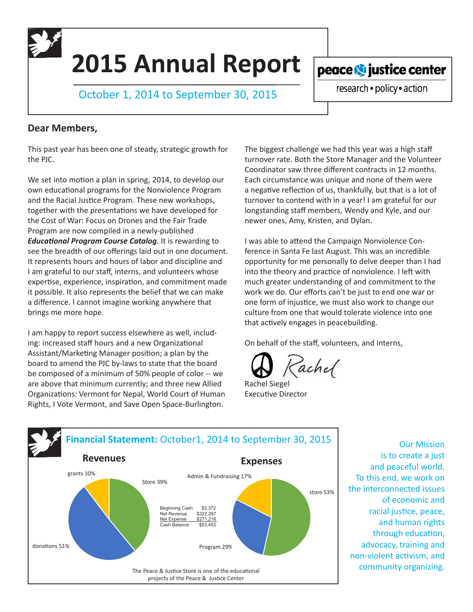**2015 Annual Report**

October 1, 2014 to September 30, 2015

peace **O** justice center research · policy · action

## **Dear Members,**

This past year has been one of steady, strategic growth for the PJC.

We set into motion a plan in spring, 2014, to develop our own educational programs for the Nonviolence Program and the Racial Justice Program. These new workshops, together with the presentations we have developed for the Cost of War: Focus on Drones and the Fair Trade Program are now compiled in a newly-published *Educational Program Course Catalog*. It is rewarding to see the breadth of our offerings laid out in one document. It represents hours and hours of labor and discipline and I am grateful to our staff, interns, and volunteers whose expertise, experience, inspiration, and commitment made it possible. It also represents the belief that we can make a difference. I cannot imagine working anywhere that brings me more hope.

I am happy to report success elsewhere as well, including: increased staff hours and a new Organizational Assistant/Marketing Manager position; a plan by the board to amend the PJC by-laws to state that the board be composed of a minimum of 50% people of color -- we are above that minimum currently; and three new Allied Organizations: Vermont for Nepal, World Court of Human Rights, I Vote Vermont, and Save Open Space-Burlington.

The biggest challenge we had this year was a high staff turnover rate. Both the Store Manager and the Volunteer Coordinator saw three different contracts in 12 months. Each circumstance was unique and none of them were a negative reflection of us, thankfully, but that is a lot of turnover to contend with in a year! I am grateful for our longstanding staff members, Wendy and Kyle, and our newer ones, Amy, Kristen, and Dylan.

I was able to attend the Campaign Nonviolence Conference in Santa Fe last August. This was an incredible opportunity for me personally to delve deeper than I had into the theory and practice of nonviolence. I left with much greater understanding of and commitment to the work we do. Our efforts can't be just to end one war or one form of injustice, we must also work to change our culture from one that would tolerate violence into one that actively engages in peacebuilding.

On behalf of the staff, volunteers, and interns,

achel

Rachel Siegel Executive Director



Our Mission is to create a just and peaceful world. To this end, we work on the interconnected issues of economic and racial justice, peace, and human rights through education, advocacy, training and non-violent activism, and community organizing.